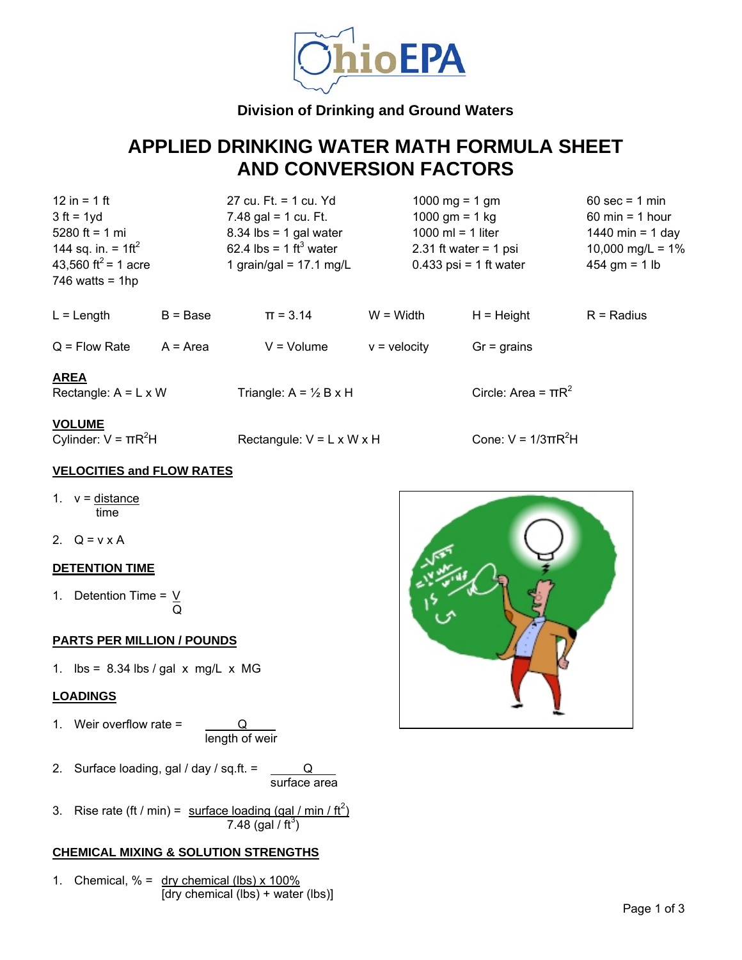

# **Division of Drinking and Ground Waters**

# **APPLIED DRINKING WATER MATH FORMULA SHEET AND CONVERSION FACTORS**

144 sq. in. =  $1 \text{ft}^2$  $746$  watts = 1hp

12 in = 1 ft 27 cu. Ft. = 1 cu. Yd 1000 mg = 1 gm 60 sec = 1 min  $3 ft = 1 yd$   $7.48 gal = 1 cu$ . Ft.  $1000 gm = 1 kg$  60 min = 1 hour 5280 ft = 1 mi 8.34 lbs = 1 gal water 1000 ml = 1 liter 1440 min = 1 day 62.4 lbs =  $1 \text{ ft}^3$  water 43,560 ft<sup>2</sup> = 1 acre 1 grain/gal = 17.1 mg/L 0.433 psi = 1 ft water 454 gm = 1 lb

2.31 ft water = 1 psi  $10,000 \text{ mg/L} = 1\%$ 

| $L =$ Length | B = Base | $\Pi = 3.14$ | W = Width | H = Height | R = Radius |
|--------------|----------|--------------|-----------|------------|------------|
|              |          |              |           |            |            |

 $Q =$  Flow Rate  $A =$  Area  $V =$  Volume  $V =$  velocity  $Gr =$  grains

Rectangule:  $V = L \times W \times H$ 

## **AREA**

Rectangle:  $A = L \times W$  Triangle:  $A = \frac{1}{2} B \times H$ 

#### **VOLUME**

Cylinder:  $V = \pi R^2H$ 

### **VELOCITIES and FLOW RATES**

1.  $v = distance$ time

2.  $Q = v \times A$ 

### **DETENTION TIME**

1. Detention Time =  $V$ Q

### **PARTS PER MILLION / POUNDS**

1.  $\text{lbs} = 8.34 \text{ lbs} / \text{gal} \times \text{mg/L} \times \text{MG}$ 

## **LOADINGS**

- 1. Weir overflow rate = Q length of weir
- 2. Surface loading, gal / day / sq.ft.  $=$  Q surface area
- 3. Rise rate (ft / min) = surface loading (gal / min / ft<sup>2</sup>)  $7.48$  (gal / ft<sup>3</sup>)

### **CHEMICAL MIXING & SOLUTION STRENGTHS**

1. Chemical,  $% =$  dry chemical (lbs) x 100% [dry chemical (lbs) + water (lbs)]



Circle: Area =  $\pi R^2$ 

Cone:  $V = 1/3\pi R^2H$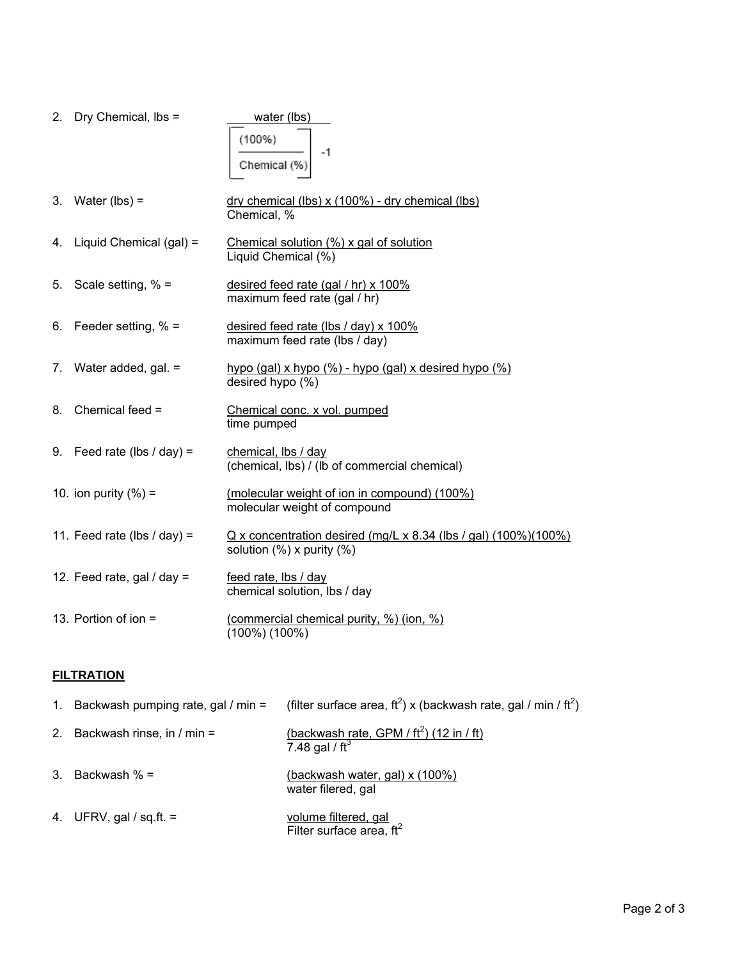|    | 2. Dry Chemical, lbs =        | water (lbs)<br>(100%)<br>-1<br>Chemical (%                                                     |
|----|-------------------------------|------------------------------------------------------------------------------------------------|
|    | 3. Water ( $\mathsf{lbs}$ ) = | dry chemical (lbs) x (100%) - dry chemical (lbs)<br>Chemical, %                                |
|    | 4. Liquid Chemical (gal) =    | Chemical solution (%) x gal of solution<br>Liquid Chemical (%)                                 |
| 5. | Scale setting, $% =$          | desired feed rate (gal / hr) x 100%<br>maximum feed rate (gal / hr)                            |
|    | 6. Feeder setting, $% =$      | desired feed rate (lbs / day) x 100%<br>maximum feed rate (lbs / day)                          |
|    | 7. Water added, gal. =        | hypo (gal) x hypo (%) - hypo (gal) x desired hypo (%)<br>desired hypo (%)                      |
| 8. | Chemical feed =               | Chemical conc. x vol. pumped<br>time pumped                                                    |
|    | 9. Feed rate (lbs / day) =    | chemical, lbs / day<br>(chemical, lbs) / (lb of commercial chemical)                           |
|    | 10. ion purity $(\% )$ =      | (molecular weight of ion in compound) (100%)<br>molecular weight of compound                   |
|    | 11. Feed rate (lbs / day) =   | $Q$ x concentration desired (mg/L x 8.34 (lbs / gal) (100%)(100%)<br>solution (%) x purity (%) |
|    | 12. Feed rate, gal / day =    | feed rate, lbs / day<br>chemical solution, lbs / day                                           |
|    | 13. Portion of ion =          | (commercial chemical purity, %) (ion, %)<br>$(100\%) (100\%)$                                  |

# **FILTRATION**

| 1. Backwash pumping rate, gal $/$ min = | (filter surface area, $ft^2$ ) x (backwash rate, gal / min / $ft^2$ )                   |
|-----------------------------------------|-----------------------------------------------------------------------------------------|
| 2. Backwash rinse, in $/min =$          | <u>(backwash rate, GPM / ft<sup>2</sup>) (12 in / ft)</u><br>7.48 gal / ft <sup>3</sup> |
| 3. Backwash $% =$                       | (backwash water, gal) x (100%)<br>water filered, gal                                    |
| 4. UFRV, gal / sq.ft. $=$               | volume filtered, gal<br>Filter surface area, $ft^2$                                     |